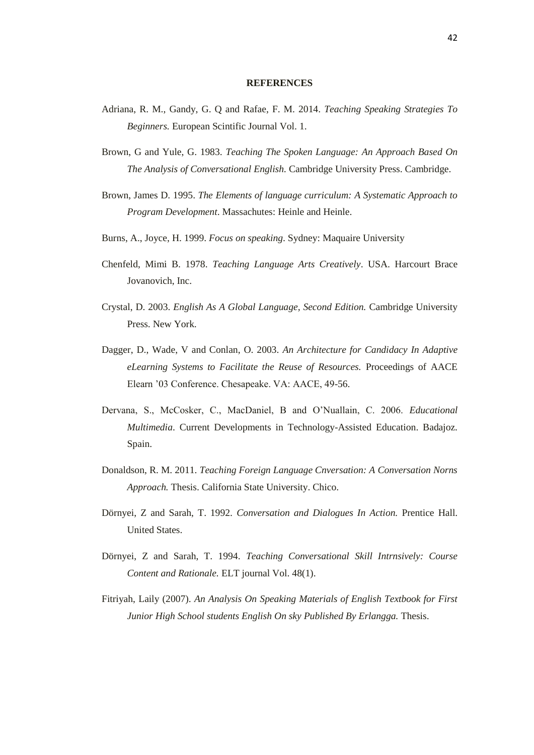## **REFERENCES**

- Adriana, R. M., Gandy, G. Q and Rafae, F. M. 2014. *Teaching Speaking Strategies To Beginners.* European Scintific Journal Vol. 1.
- Brown, G and Yule, G. 1983. *Teaching The Spoken Language: An Approach Based On The Analysis of Conversational English.* Cambridge University Press. Cambridge.
- Brown, James D. 1995. *The Elements of language curriculum: A Systematic Approach to Program Development*. Massachutes: Heinle and Heinle.
- Burns, A., Joyce, H. 1999. *Focus on speaking*. Sydney: Maquaire University
- Chenfeld, Mimi B. 1978. *Teaching Language Arts Creatively*. USA. Harcourt Brace Jovanovich, Inc.
- Crystal, D. 2003. *English As A Global Language, Second Edition.* Cambridge University Press. New York.
- Dagger, D., Wade, V and Conlan, O. 2003. *An Architecture for Candidacy In Adaptive eLearning Systems to Facilitate the Reuse of Resources.* Proceedings of AACE Elearn '03 Conference. Chesapeake. VA: AACE, 49-56.
- Dervana, S., McCosker, C., MacDaniel, B and O'Nuallain, C. 2006. *Educational Multimedia*. Current Developments in Technology-Assisted Education. Badajoz. Spain.
- Donaldson, R. M. 2011. *Teaching Foreign Language Cnversation: A Conversation Norns Approach.* Thesis. California State University. Chico.
- Dörnyei, Z and Sarah, T. 1992. *Conversation and Dialogues In Action.* Prentice Hall. United States.
- Dörnyei, Z and Sarah, T. 1994. *Teaching Conversational Skill Intrnsively: Course Content and Rationale.* ELT journal Vol. 48(1).
- Fitriyah, Laily (2007). *An Analysis On Speaking Materials of English Textbook for First Junior High School students English On sky Published By Erlangga.* Thesis.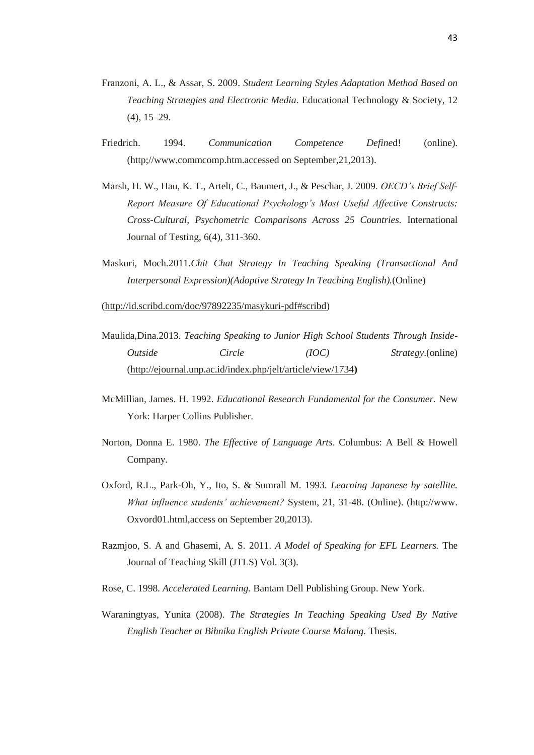- Franzoni, A. L., & Assar, S. 2009. *Student Learning Styles Adaptation Method Based on Teaching Strategies and Electronic Media*. Educational Technology & Society, 12 (4), 15–29.
- Friedrich. 1994. *Communication Competence Define*d! (online). (http;//www.commcomp.htm.accessed on September,21,2013).
- Marsh, H. W., Hau, K. T., Artelt, C., Baumert, J., & Peschar, J. 2009. *OECD's Brief Self-Report Measure Of Educational Psychology's Most Useful Affective Constructs: Cross-Cultural, Psychometric Comparisons Across 25 Countries.* International Journal of Testing, 6(4), 311-360.
- Maskuri, Moch.2011.*Chit Chat Strategy In Teaching Speaking (Transactional And Interpersonal Expression)(Adoptive Strategy In Teaching English).*(Online)

[\(http://id.scribd.com/doc/97892235/masykuri-pdf#scribd\)](http://id.scribd.com/doc/97892235/masykuri-pdf#scribd)

- Maulida,Dina.2013. *Teaching Speaking to Junior High School Students Through Inside-Outside Circle (IOC) Strategy*.(online) [\(http://ejournal.unp.ac.id/index.php/jelt/article/view/1734](http://ejournal.unp.ac.id/index.php/jelt/article/view/1734)**)**
- McMillian, James. H. 1992. *Educational Research Fundamental for the Consumer.* New York: Harper Collins Publisher.
- Norton, Donna E. 1980. *The Effective of Language Arts*. Columbus: A Bell & Howell Company.
- Oxford, R.L., Park-Oh, Y., Ito, S. & Sumrall M. 1993. *Learning Japanese by satellite. What influence students' achievement?* System, 21, 31-48. (Online). (http://www. Oxvord01.html,access on September 20,2013).
- Razmjoo, S. A and Ghasemi, A. S. 2011. *A Model of Speaking for EFL Learners.* The Journal of Teaching Skill (JTLS) Vol. 3(3).
- Rose, C. 1998. *Accelerated Learning.* Bantam Dell Publishing Group. New York.
- Waraningtyas, Yunita (2008). *The Strategies In Teaching Speaking Used By Native English Teacher at Bihnika English Private Course Malang.* Thesis.